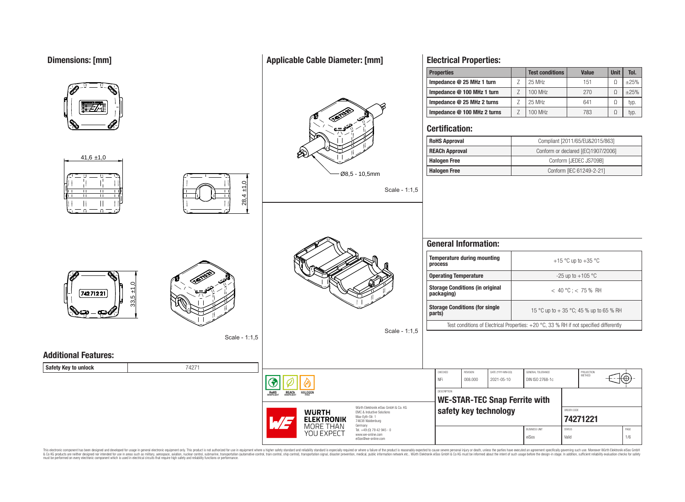# **Dimensions: [mm]**

|                             |               |                                                                                              | <b>Properties</b>                                                                      |             | <b>Test conditions</b> | <b>Value</b>                            | <b>Unit</b> | Tol.       |
|-----------------------------|---------------|----------------------------------------------------------------------------------------------|----------------------------------------------------------------------------------------|-------------|------------------------|-----------------------------------------|-------------|------------|
|                             |               |                                                                                              | Impedance @ 25 MHz 1 turn                                                              | $\mathsf Z$ | 25 MHz                 | 151                                     | $\Omega$    | $\pm 25\%$ |
|                             |               |                                                                                              | Impedance @ 100 MHz 1 turn                                                             | $\mathsf Z$ | 100 MHz                | 270                                     | $\Omega$    | $\pm 25\%$ |
|                             |               |                                                                                              | Impedance @ 25 MHz 2 turns                                                             | Z           | 25 MHz                 | 641                                     | $\Omega$    | typ.       |
|                             |               |                                                                                              | Impedance @ 100 MHz 2 turns                                                            | Z           | 100 MHz                | 783                                     | $\Omega$    | typ.       |
|                             |               |                                                                                              | <b>Certification:</b>                                                                  |             |                        |                                         |             |            |
|                             |               |                                                                                              | <b>RoHS Approval</b>                                                                   |             |                        | Compliant [2011/65/EU&2015/863]         |             |            |
|                             |               | ℅                                                                                            | <b>REACh Approval</b>                                                                  |             |                        | Conform or declared [(EC)1907/2006]     |             |            |
| $41,6 \pm 1,0$              |               |                                                                                              | <b>Halogen Free</b>                                                                    |             |                        | Conform [JEDEC JS709B]                  |             |            |
|                             |               | $0.65 - 10,5$ mm                                                                             | <b>Halogen Free</b>                                                                    |             |                        | Conform [IEC 61249-2-21]                |             |            |
| $\blacksquare$              | $\pm 1.0$     | Scale - 1:1,5                                                                                |                                                                                        |             |                        |                                         |             |            |
|                             | 28,4          |                                                                                              |                                                                                        |             |                        |                                         |             |            |
| $\Box$<br>죠                 |               |                                                                                              |                                                                                        |             |                        |                                         |             |            |
|                             |               |                                                                                              |                                                                                        |             |                        |                                         |             |            |
|                             |               |                                                                                              |                                                                                        |             |                        |                                         |             |            |
|                             |               |                                                                                              | <b>General Information:</b>                                                            |             |                        |                                         |             |            |
|                             |               |                                                                                              | <b>Temperature during mounting</b><br>process                                          |             | +15 °C up to +35 °C    |                                         |             |            |
|                             |               |                                                                                              | <b>Operating Temperature</b>                                                           |             |                        | -25 up to $+105$ °C                     |             |            |
| 74271221                    | 5             |                                                                                              | <b>Storage Conditions (in original</b><br>packaging)                                   |             |                        | $< 40 °C$ ; < 75 % RH                   |             |            |
|                             | 33,           |                                                                                              | <b>Storage Conditions (for single</b><br>parts)                                        |             |                        | 15 °C up to + 35 °C; 45 % up to 65 % RH |             |            |
|                             |               |                                                                                              | Test conditions of Electrical Properties: +20 °C, 33 % RH if not specified differently |             |                        |                                         |             |            |
|                             | Scale - 1:1,5 | Scale - 1:1,5                                                                                |                                                                                        |             |                        |                                         |             |            |
|                             |               |                                                                                              |                                                                                        |             |                        |                                         |             |            |
| <b>Additional Features:</b> |               |                                                                                              |                                                                                        |             |                        |                                         |             |            |
| Safety Key to unlock        | 74271         |                                                                                              | CHECKED<br>REVISION<br>DATE (YYYY-MM-DD)                                               |             | GENERAL TOLERANCE      |                                         |             |            |
|                             |               | €                                                                                            | NFi<br>008.000<br>2021-05-10                                                           |             | DIN ISO 2768-1c        | PROJECTION<br>METHOD                    | ₩⊕          |            |
|                             |               | <b>REACh</b><br>HALOGEN<br><b>ROHS</b>                                                       | DESCRIPTION                                                                            |             |                        |                                         |             |            |
|                             |               |                                                                                              | <b>WE-STAR-TEC Snap Ferrite with</b>                                                   |             |                        |                                         |             |            |
|                             |               | Würth Elektronik eiSos GmbH & Co. KG<br><b>WURTH</b><br>EMC & Inductive Solutions            | safety key technology                                                                  |             | ORDER CODE             |                                         |             |            |
|                             |               | Max-Eyth-Str. 1<br><b>ELEKTRONIK</b><br>W 2<br>74638 Waldenburg                              |                                                                                        |             |                        | 74271221                                |             |            |
|                             |               | <b>MORE THAN</b><br>Germany<br>Tel. +49 (0) 79 42 945 - 0<br>YOU EXPECT<br>www.we-online.com |                                                                                        |             | <b>BUSINESS UNIT</b>   | <b>STATUS</b>                           |             | PAGE       |
|                             |               | eiSos@we-online.com                                                                          |                                                                                        |             | eiSos                  | Valid                                   |             | 1/6        |

This electronic component has been designed and developed for usage in general electronic equipment only. This product is not authorized for subserved requipment where a higher selection equipment where a higher selection

# **Applicable Cable Diameter: [mm]**

**Electrical Properties:**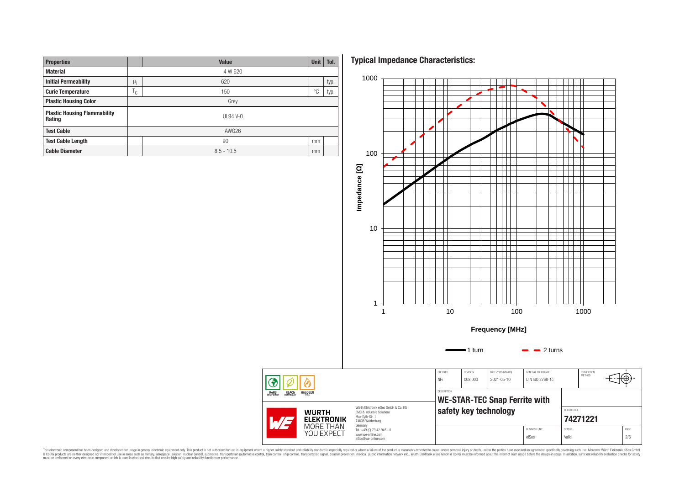| <b>Properties</b>                             |       | Value        | <b>Unit</b> | Tol. |  |  |  |  |
|-----------------------------------------------|-------|--------------|-------------|------|--|--|--|--|
| <b>Material</b>                               |       | 4 W 620      |             |      |  |  |  |  |
| <b>Initial Permeability</b>                   |       | 620          |             | typ. |  |  |  |  |
| <b>Curie Temperature</b>                      |       | 150          | °€          | typ. |  |  |  |  |
| <b>Plastic Housing Color</b>                  |       | Grey         |             |      |  |  |  |  |
| <b>Plastic Housing Flammability</b><br>Rating |       | $UL94V-0$    |             |      |  |  |  |  |
| <b>Test Cable</b>                             | AWG26 |              |             |      |  |  |  |  |
| <b>Test Cable Length</b>                      |       | 90           | mm          |      |  |  |  |  |
| <b>Cable Diameter</b>                         |       | $8.5 - 10.5$ |             |      |  |  |  |  |

**Typical Impedance Characteristics:**



This electronic component has been designed and developed for usage in general electronic equipment only. This product is not authorized for subserved requipment where a higher selection equipment where a higher selection

◈ **ROHS**<br>COMPLIANT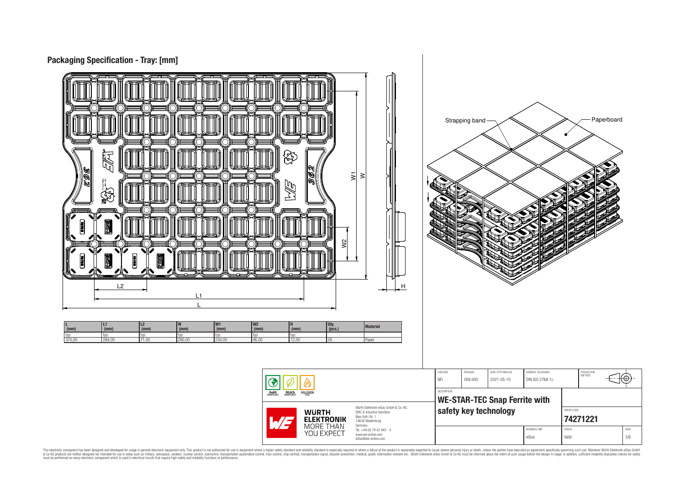

This electronic component has been designed and developed for usage in general electronic equipment only. This product is not authorized for subserved requipment where a higher selection equipment where a higher selection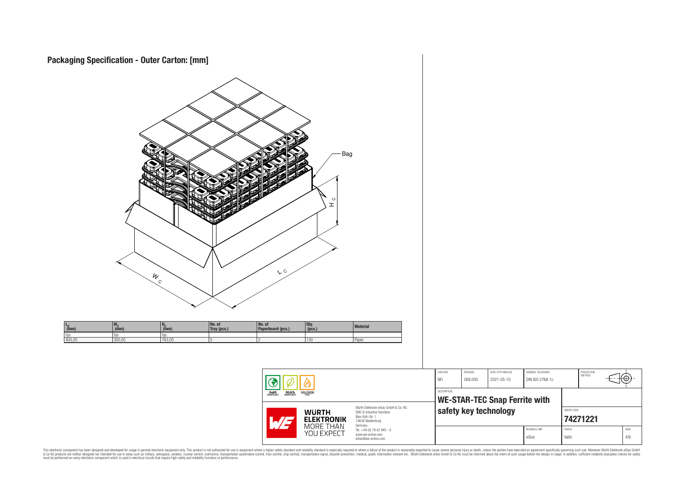



This electronic component has been designed and developed for usage in general electronic equipment only. This product is not authorized for subserved requipment where a higher selection equipment where a higher selection

⊕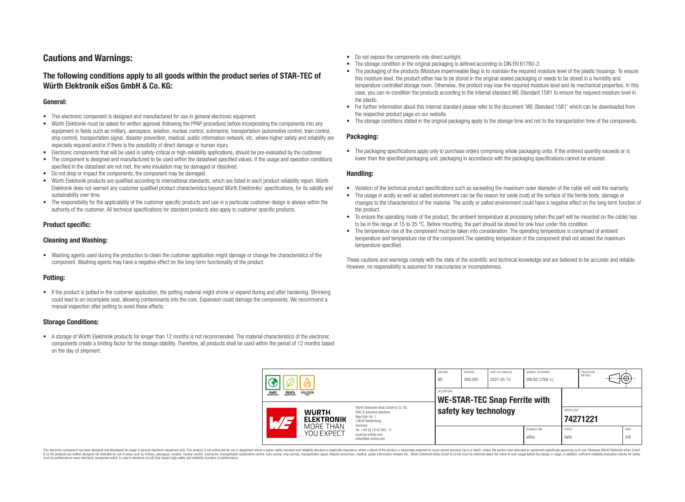# **Cautions and Warnings:**

# **The following conditions apply to all goods within the product series of STAR-TEC of Würth Elektronik eiSos GmbH & Co. KG:**

### **General:**

- This electronic component is designed and manufactured for use in general electronic equipment.
- Würth Elektronik must be asked for written approval (following the PPAP procedure) before incorporating the components into any equipment in fields such as military, aerospace, aviation, nuclear control, submarine, transportation (automotive control, train control, ship control), transportation signal, disaster prevention, medical, public information network, etc. where higher safety and reliability are especially required and/or if there is the possibility of direct damage or human injury.
- Electronic components that will be used in safety-critical or high-reliability applications, should be pre-evaluated by the customer.
- The component is designed and manufactured to be used within the datasheet specified values. If the usage and operation conditions specified in the datasheet are not met, the wire insulation may be damaged or dissolved.
- Do not drop or impact the components, the component may be damaged.
- Würth Elektronik products are qualified according to international standards, which are listed in each product reliability report. Würth Elektronik does not warrant any customer qualified product characteristics beyond Würth Elektroniks' specifications, for its validity and sustainability over time.
- The responsibility for the applicability of the customer specific products and use in a particular customer design is always within the authority of the customer. All technical specifications for standard products also apply to customer specific products.

# **Product specific:**

### **Cleaning and Washing:**

• Washing agents used during the production to clean the customer application might damage or change the characteristics of the component. Washing agents may have a negative effect on the long-term functionality of the product.

# **Potting:**

• If the product is potted in the customer application, the potting material might shrink or expand during and after hardening. Shrinking could lead to an incomplete seal, allowing contaminants into the core. Expansion could damage the components. We recommend a manual inspection after potting to avoid these effects.

### **Storage Conditions:**

• A storage of Würth Elektronik products for longer than 12 months is not recommended. The material characteristics of the electronic components create a limiting factor for the storage stability. Therefore, all products shall be used within the period of 12 months based on the day of shipment.

- Do not expose the components into direct sunlight.
- The storage condition in the original packaging is defined according to DIN EN 61760-2.
- The packaging of the products (Moisture Impermeable Bag) is to maintain the required moisture level of the plastic housings. To ensure this moisture level, the product either has to be stored in the original sealed packaging or needs to be stored in a humidity and temperature controlled storage room. Otherwise, the product may lose the required moisture level and its mechanical properties. In this case, you can re-condition the products according to the internal standard WE-Standard 1581 to ensure the required moisture level in the plastic.
- For further information about this internal standard please refer to the document 'WE-Standard 1581' which can be downloaded from the respective product page on our website.
- The storage conditions stated in the original packaging apply to the storage time and not to the transportation time of the components.

### **Packaging:**

• The packaging specifications apply only to purchase orders comprising whole packaging units. If the ordered quantity exceeds or is lower than the specified packaging unit, packaging in accordance with the packaging specifications cannot be ensured.

#### **Handling:**

- Violation of the technical product specifications such as exceeding the maximum outer diameter of the cable will void the warranty.
- The usage in acidly as well as salted environment can be the reason for oxide (rust) at the surface of the ferrite body, damage or changes to the characteristics of the material. The acidly or salted environment could have a negative effect on the long term function of the product.
- To ensure the operating mode of the product, the ambient temperature at processing (when the part will be mounted on the cable) has to be in the range of 15 to 35 °C. Before mounting, the part should be stored for one hour under this condition.
- The temperature rise of the component must be taken into consideration. The operating temperature is comprised of ambient temperature and temperature rise of the component.The operating temperature of the component shall not exceed the maximum temperature specified.

These cautions and warnings comply with the state of the scientific and technical knowledge and are believed to be accurate and reliable. However, no responsibility is assumed for inaccuracies or incompleteness.

| <b>HALOGEN</b><br><b>ROHS</b><br>COMPLIANT<br><b>REACH</b><br>COMPLIANT<br>FRFF<br>Würth Elektronik eiSos GmbH & Co. KG<br><b>WURTH</b><br><b>EMC &amp; Inductive Solutions</b><br>Max-Eyth-Str. 1<br><b>ELEKTRONIK</b><br>74638 Waldenburg<br>Germany |  | CHECKED<br>NFi          | REVISION<br>008,000                                                    | DATE (YYYY-MM-DD)<br>2021-05-10 | GENERAL TOLERANCE<br>DIN ISO 2768-1c |  | PROJECTION<br><b>METHOD</b>   |                        | π⊕≁ |  |             |
|--------------------------------------------------------------------------------------------------------------------------------------------------------------------------------------------------------------------------------------------------------|--|-------------------------|------------------------------------------------------------------------|---------------------------------|--------------------------------------|--|-------------------------------|------------------------|-----|--|-------------|
|                                                                                                                                                                                                                                                        |  |                         | <b>DESCRIPTION</b>                                                     |                                 | <b>WE-STAR-TEC Snap Ferrite with</b> |  |                               |                        |     |  |             |
|                                                                                                                                                                                                                                                        |  | safety key technology   |                                                                        |                                 | ORDER CODE<br>74271221               |  |                               |                        |     |  |             |
|                                                                                                                                                                                                                                                        |  | MORE THAN<br>YOU EXPECT | Tel. +49 (0) 79 42 945 - 0<br>www.we-online.com<br>eiSos@we-online.com |                                 |                                      |  | <b>BUSINESS UNIT</b><br>eiSos | <b>STATUS</b><br>Valid |     |  | PAGE<br>5/6 |

This electronic component has been designed and developed for usage in general electronic equipment only. This product is not authorized for use in equipment where a higher safety standard and reliability standard si espec & Ook product a label and the membed of the seasuch as marked and as which such a membed and the such assume that income in the seasuch and the simulation and the such assume that include to the such a membed and the such